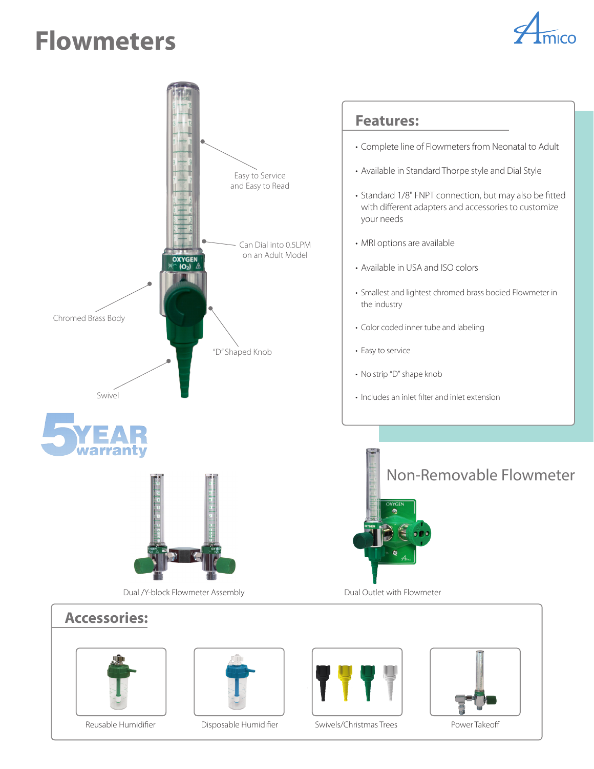## **Flowmeters**









Reusable Humidifier **Disposable Humidifier** Swivels/Christmas Trees Power Takeoff